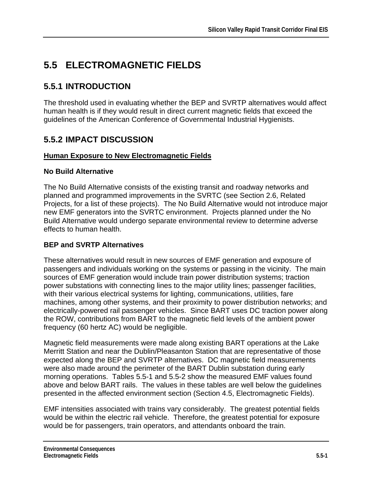# **5.5 ELECTROMAGNETIC FIELDS**

# **5.5.1 INTRODUCTION**

The threshold used in evaluating whether the BEP and SVRTP alternatives would affect human health is if they would result in direct current magnetic fields that exceed the guidelines of the American Conference of Governmental Industrial Hygienists.

# **5.5.2 IMPACT DISCUSSION**

### **Human Exposure to New Electromagnetic Fields**

### **No Build Alternative**

The No Build Alternative consists of the existing transit and roadway networks and planned and programmed improvements in the SVRTC (see Section 2.6, Related Projects, for a list of these projects). The No Build Alternative would not introduce major new EMF generators into the SVRTC environment. Projects planned under the No Build Alternative would undergo separate environmental review to determine adverse effects to human health.

## **BEP and SVRTP Alternatives**

These alternatives would result in new sources of EMF generation and exposure of passengers and individuals working on the systems or passing in the vicinity. The main sources of EMF generation would include train power distribution systems; traction power substations with connecting lines to the major utility lines; passenger facilities, with their various electrical systems for lighting, communications, utilities, fare machines, among other systems, and their proximity to power distribution networks; and electrically-powered rail passenger vehicles. Since BART uses DC traction power along the ROW, contributions from BART to the magnetic field levels of the ambient power frequency (60 hertz AC) would be negligible.

Magnetic field measurements were made along existing BART operations at the Lake Merritt Station and near the Dublin/Pleasanton Station that are representative of those expected along the BEP and SVRTP alternatives. DC magnetic field measurements were also made around the perimeter of the BART Dublin substation during early morning operations. Tables 5.5-1 and 5.5-2 show the measured EMF values found above and below BART rails. The values in these tables are well below the guidelines presented in the affected environment section (Section 4.5, Electromagnetic Fields).

EMF intensities associated with trains vary considerably. The greatest potential fields would be within the electric rail vehicle. Therefore, the greatest potential for exposure would be for passengers, train operators, and attendants onboard the train.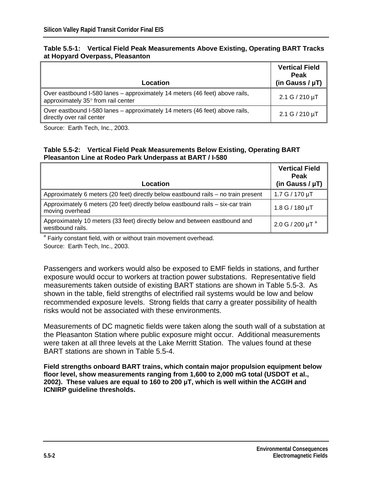| Table 5.5-1: Vertical Field Peak Measurements Above Existing, Operating BART Tracks |  |  |
|-------------------------------------------------------------------------------------|--|--|
| at Hopyard Overpass, Pleasanton                                                     |  |  |

| Location                                                                                                          | <b>Vertical Field</b><br><b>Peak</b><br>(in Gauss / $\mu$ T) |
|-------------------------------------------------------------------------------------------------------------------|--------------------------------------------------------------|
| Over eastbound I-580 lanes – approximately 14 meters (46 feet) above rails,<br>approximately 35° from rail center | $2.1 G / 210 \mu T$                                          |
| Over eastbound I-580 lanes – approximately 14 meters (46 feet) above rails,<br>directly over rail center          | $2.1 G / 210 \mu T$                                          |

Source: Earth Tech, Inc., 2003.

#### **Table 5.5-2: Vertical Field Peak Measurements Below Existing, Operating BART Pleasanton Line at Rodeo Park Underpass at BART / I-580**

| Location                                                                                           | <b>Vertical Field</b><br><b>Peak</b><br>(in Gauss / $\mu$ T) |
|----------------------------------------------------------------------------------------------------|--------------------------------------------------------------|
| Approximately 6 meters (20 feet) directly below eastbound rails – no train present                 | 1.7 G / 170 µT                                               |
| Approximately 6 meters (20 feet) directly below eastbound rails – six-car train<br>moving overhead | $1.8 G / 180 \mu T$                                          |
| Approximately 10 meters (33 feet) directly below and between eastbound and<br>westbound rails.     | 2.0 G / 200 $\mu$ T <sup>a</sup>                             |

<sup>a</sup> Fairly constant field, with or without train movement overhead. Source: Earth Tech, Inc., 2003.

Passengers and workers would also be exposed to EMF fields in stations, and further exposure would occur to workers at traction power substations. Representative field measurements taken outside of existing BART stations are shown in Table 5.5-3. As shown in the table, field strengths of electrified rail systems would be low and below recommended exposure levels. Strong fields that carry a greater possibility of health risks would not be associated with these environments.

Measurements of DC magnetic fields were taken along the south wall of a substation at the Pleasanton Station where public exposure might occur. Additional measurements were taken at all three levels at the Lake Merritt Station. The values found at these BART stations are shown in Table 5.5-4.

**Field strengths onboard BART trains, which contain major propulsion equipment below floor level, show measurements ranging from 1,600 to 2,000 mG total (USDOT et al., 2002). These values are equal to 160 to 200 µT, which is well within the ACGIH and ICNIRP guideline thresholds.**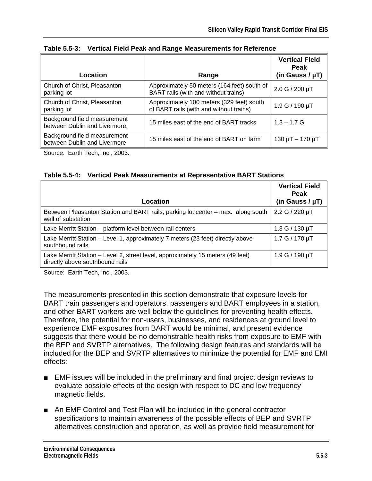| Location                                                      | Range                                                                                | <b>Vertical Field</b><br><b>Peak</b><br>(in Gauss / $\mu$ T) |
|---------------------------------------------------------------|--------------------------------------------------------------------------------------|--------------------------------------------------------------|
|                                                               |                                                                                      |                                                              |
| Church of Christ, Pleasanton<br>parking lot                   | Approximately 50 meters (164 feet) south of<br>BART rails (with and without trains)  | 2.0 G / 200 µT                                               |
| Church of Christ, Pleasanton<br>parking lot                   | Approximately 100 meters (329 feet) south<br>of BART rails (with and without trains) | $1.9 G / 190 \mu T$                                          |
| Background field measurement<br>between Dublin and Livermore, | 15 miles east of the end of BART tracks                                              | $1.3 - 1.7$ G                                                |
| Background field measurement<br>between Dublin and Livermore  | 15 miles east of the end of BART on farm                                             | $130 \mu T - 170 \mu T$                                      |

### **Table 5.5-3: Vertical Field Peak and Range Measurements for Reference**

Source: Earth Tech, Inc., 2003.

#### **Table 5.5-4: Vertical Peak Measurements at Representative BART Stations**

| Location                                                                                                           | <b>Vertical Field</b><br><b>Peak</b><br>(in Gauss / $\mu T$ ) |
|--------------------------------------------------------------------------------------------------------------------|---------------------------------------------------------------|
| Between Pleasanton Station and BART rails, parking lot center - max. along south<br>wall of substation             | 2.2 G / 220 µT                                                |
| Lake Merritt Station - platform level between rail centers                                                         | $1.3 G / 130 \mu T$                                           |
| Lake Merritt Station - Level 1, approximately 7 meters (23 feet) directly above<br>southbound rails                | 1.7 $G / 170 \mu T$                                           |
| Lake Merritt Station - Level 2, street level, approximately 15 meters (49 feet)<br>directly above southbound rails | $1.9 G / 190 \mu T$                                           |

Source: Earth Tech, Inc., 2003.

The measurements presented in this section demonstrate that exposure levels for BART train passengers and operators, passengers and BART employees in a station, and other BART workers are well below the guidelines for preventing health effects. Therefore, the potential for non-users, businesses, and residences at ground level to experience EMF exposures from BART would be minimal, and present evidence suggests that there would be no demonstrable health risks from exposure to EMF with the BEP and SVRTP alternatives. The following design features and standards will be included for the BEP and SVRTP alternatives to minimize the potential for EMF and EMI effects:

- EMF issues will be included in the preliminary and final project design reviews to evaluate possible effects of the design with respect to DC and low frequency magnetic fields.
- An EMF Control and Test Plan will be included in the general contractor specifications to maintain awareness of the possible effects of BEP and SVRTP alternatives construction and operation, as well as provide field measurement for